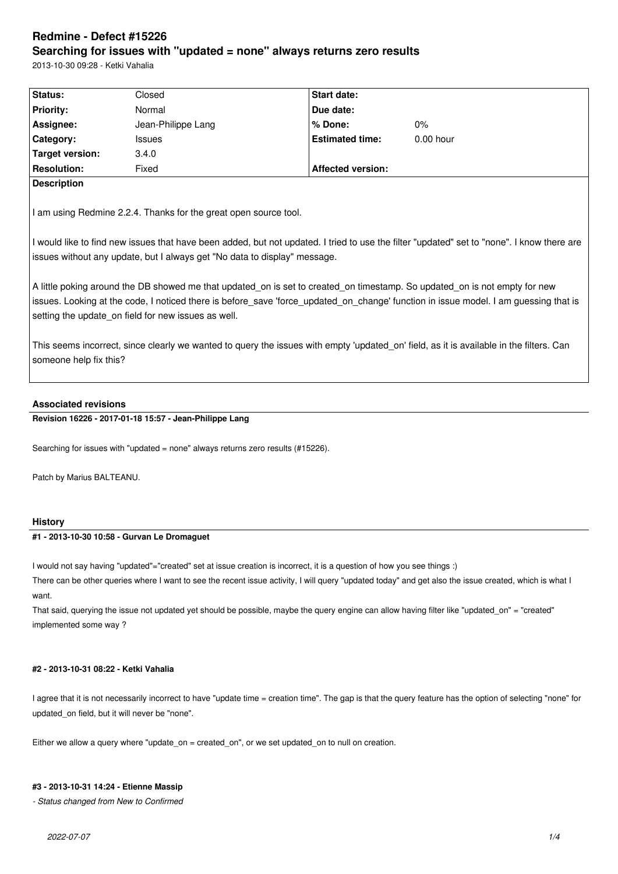# **Redmine - Defect #15226 Searching for issues with "updated = none" always returns zero results**

2013-10-30 09:28 - Ketki Vahalia

| <b>Status:</b>     | Closed             | <b>Start date:</b>       |             |  |  |
|--------------------|--------------------|--------------------------|-------------|--|--|
| <b>Priority:</b>   | Normal             | Due date:                |             |  |  |
| Assignee:          | Jean-Philippe Lang | l% Done:                 | $0\%$       |  |  |
| Category:          | <b>Issues</b>      | <b>Estimated time:</b>   | $0.00$ hour |  |  |
| Target version:    | 3.4.0              |                          |             |  |  |
| <b>Resolution:</b> | Fixed              | <b>Affected version:</b> |             |  |  |
| <b>Description</b> |                    |                          |             |  |  |
|                    |                    |                          |             |  |  |

I am using Redmine 2.2.4. Thanks for the great open source tool.

I would like to find new issues that have been added, but not updated. I tried to use the filter "updated" set to "none". I know there are issues without any update, but I always get "No data to display" message.

A little poking around the DB showed me that updated on is set to created on timestamp. So updated on is not empty for new issues. Looking at the code, I noticed there is before save 'force updated on change' function in issue model. I am guessing that is setting the update on field for new issues as well.

This seems incorrect, since clearly we wanted to query the issues with empty 'updated on' field, as it is available in the filters. Can someone help fix this?

# **Associated revisions**

**Revision 16226 - 2017-01-18 15:57 - Jean-Philippe Lang**

Searching for issues with "updated = none" always returns zero results (#15226).

Patch by Marius BALTEANU.

# **History**

# **#1 - 2013-10-30 10:58 - Gurvan Le Dromaguet**

I would not say having "updated"="created" set at issue creation is incorrect, it is a question of how you see things :)

There can be other queries where I want to see the recent issue activity, I will query "updated today" and get also the issue created, which is what I want.

That said, querying the issue not updated yet should be possible, maybe the query engine can allow having filter like "updated\_on" = "created" implemented some way ?

# **#2 - 2013-10-31 08:22 - Ketki Vahalia**

I agree that it is not necessarily incorrect to have "update time = creation time". The gap is that the query feature has the option of selecting "none" for updated\_on field, but it will never be "none".

Either we allow a query where "update\_on = created\_on", or we set updated\_on to null on creation.

#### **#3 - 2013-10-31 14:24 - Etienne Massip**

*- Status changed from New to Confirmed*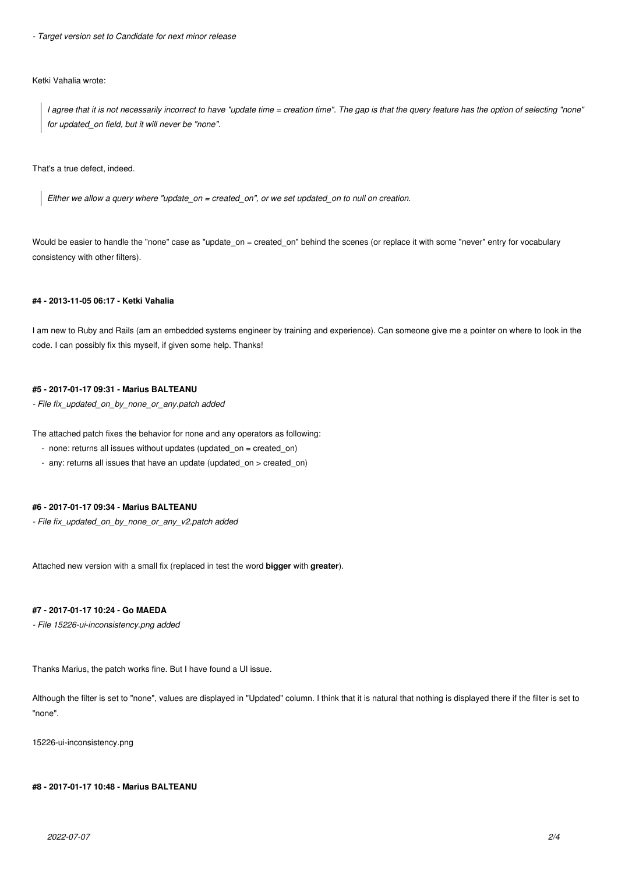*- Target version set to Candidate for next minor release*

### Ketki Vahalia wrote:

*I agree that it is not necessarily incorrect to have "update time = creation time". The gap is that the query feature has the option of selecting "none" for updated\_on field, but it will never be "none".*

That's a true defect, indeed.

*Either we allow a query where "update\_on = created\_on", or we set updated\_on to null on creation.*

Would be easier to handle the "none" case as "update\_on = created\_on" behind the scenes (or replace it with some "never" entry for vocabulary consistency with other filters).

# **#4 - 2013-11-05 06:17 - Ketki Vahalia**

I am new to Ruby and Rails (am an embedded systems engineer by training and experience). Can someone give me a pointer on where to look in the code. I can possibly fix this myself, if given some help. Thanks!

## **#5 - 2017-01-17 09:31 - Marius BALTEANU**

*- File fix\_updated\_on\_by\_none\_or\_any.patch added*

The attached patch fixes the behavior for none and any operators as following:

- none: returns all issues without updates (updated\_on = created\_on)
- any: returns all issues that have an update (updated\_on > created\_on)

### **#6 - 2017-01-17 09:34 - Marius BALTEANU**

*- File fix\_updated\_on\_by\_none\_or\_any\_v2.patch added*

Attached new version with a small fix (replaced in test the word **bigger** with **greater**).

# **#7 - 2017-01-17 10:24 - Go MAEDA**

*- File 15226-ui-inconsistency.png added*

Thanks Marius, the patch works fine. But I have found a UI issue.

Although the filter is set to "none", values are displayed in "Updated" column. I think that it is natural that nothing is displayed there if the filter is set to "none".

15226-ui-inconsistency.png

### **#8 - 2017-01-17 10:48 - Marius BALTEANU**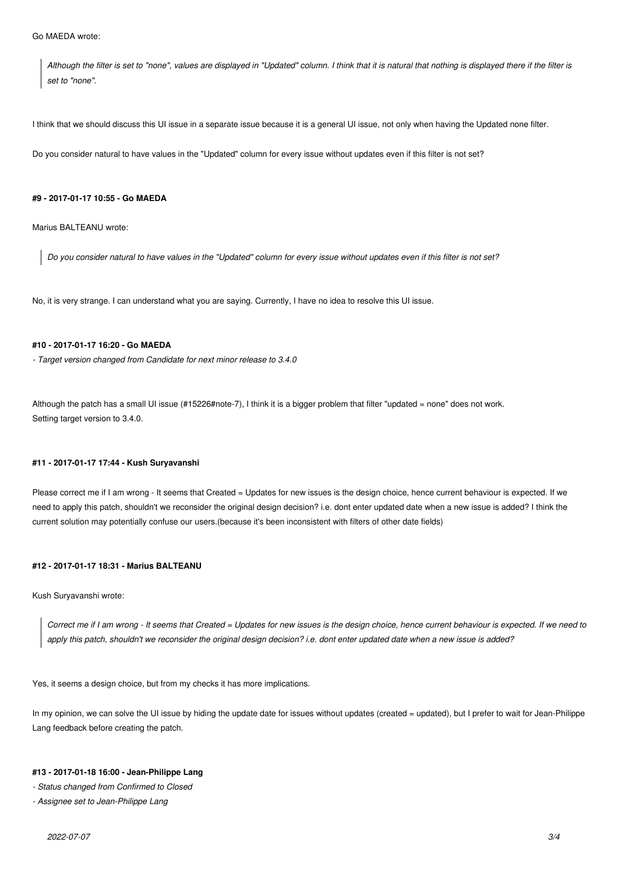*Although the filter is set to "none", values are displayed in "Updated" column. I think that it is natural that nothing is displayed there if the filter is set to "none".*

I think that we should discuss this UI issue in a separate issue because it is a general UI issue, not only when having the Updated none filter.

Do you consider natural to have values in the "Updated" column for every issue without updates even if this filter is not set?

### **#9 - 2017-01-17 10:55 - Go MAEDA**

Marius BALTEANU wrote:

*Do you consider natural to have values in the "Updated" column for every issue without updates even if this filter is not set?*

No, it is very strange. I can understand what you are saying. Currently, I have no idea to resolve this UI issue.

# **#10 - 2017-01-17 16:20 - Go MAEDA**

*- Target version changed from Candidate for next minor release to 3.4.0*

Although the patch has a small UI issue (#15226#note-7), I think it is a bigger problem that filter "updated = none" does not work. Setting target version to 3.4.0.

# **#11 - 2017-01-17 17:44 - Kush Suryavanshi**

Please correct me if I am wrong - It seems that Created = Updates for new issues is the design choice, hence current behaviour is expected. If we need to apply this patch, shouldn't we reconsider the original design decision? i.e. dont enter updated date when a new issue is added? I think the current solution may potentially confuse our users.(because it's been inconsistent with filters of other date fields)

### **#12 - 2017-01-17 18:31 - Marius BALTEANU**

Kush Suryavanshi wrote:

*Correct me if I am wrong - It seems that Created = Updates for new issues is the design choice, hence current behaviour is expected. If we need to apply this patch, shouldn't we reconsider the original design decision? i.e. dont enter updated date when a new issue is added?*

Yes, it seems a design choice, but from my checks it has more implications.

In my opinion, we can solve the UI issue by hiding the update date for issues without updates (created = updated), but I prefer to wait for Jean-Philippe Lang feedback before creating the patch.

#### **#13 - 2017-01-18 16:00 - Jean-Philippe Lang**

*- Status changed from Confirmed to Closed*

*- Assignee set to Jean-Philippe Lang*